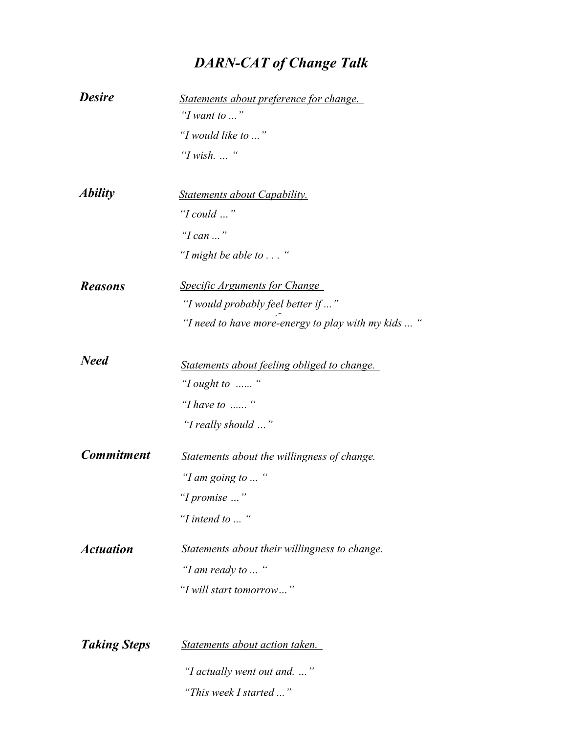## *DARN-CAT of Change Talk*

| <b>Desire</b>         | Statements about preference for change.             |
|-----------------------|-----------------------------------------------------|
|                       | "I want to "                                        |
|                       | "I would like to "                                  |
|                       | "I wish"                                            |
| <i><b>Ability</b></i> | <b>Statements about Capability.</b>                 |
|                       | "I could $\ldots$ "                                 |
|                       | "I can "                                            |
|                       | "I might be able to $\dots$ "                       |
| <b>Reasons</b>        | <b>Specific Arguments for Change</b>                |
|                       | "I would probably feel better if "                  |
|                       | "I need to have more-energy to play with my kids  " |
| <b>Need</b>           | Statements about feeling obliged to change.         |
|                       | "I ought to "                                       |
|                       | "I have to $\ldots$ "                               |
|                       | "I really should "                                  |
| <b>Commitment</b>     | Statements about the willingness of change.         |
|                       | "I am going to  "                                   |
|                       | "I promise "                                        |
|                       | "I intend to $\ldots$ "                             |
| <b>Actuation</b>      | Statements about their willingness to change.       |
|                       | "I am ready to  "                                   |
|                       | "I will start tomorrow"                             |
|                       |                                                     |
| <b>Taking Steps</b>   | Statements about action taken.                      |
|                       | "I actually went out and. "                         |
|                       | "This week I started "                              |